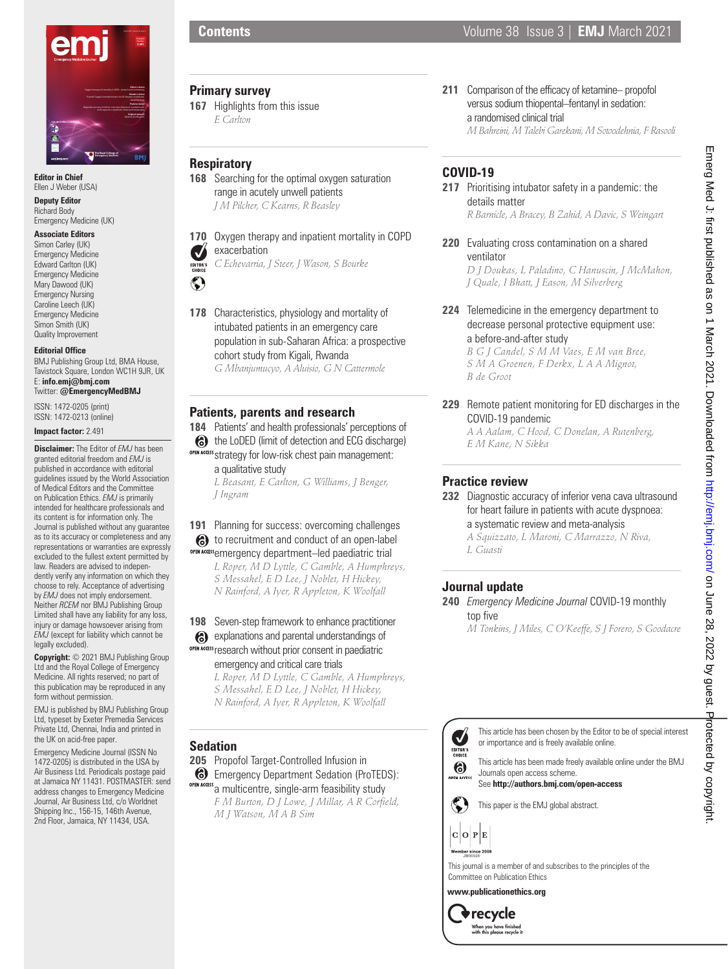

**Editor in Chief** Ellen J Weber (USA)

**Deputy Editor** Richard Body Emergency Medicine (UK)

#### **Associate Editors**

Simon Carley (UK) Emergency Medicine Edward Carlton (UK) Emergency Medicine Mary Dawood (UK) Emergency Nursing Caroline Leech (UK) Emergency Medicine Simon Smith (UK) Quality Improvement

#### **Editorial Office**

BMJ Publishing Group Ltd, BMA House, Tavistock Square, London WC1H 9JR, UK E: **info.emj@bmj.com** Twitter: **@EmergencyMedBMJ**

ISSN: 1472-0205 (print) ISSN: 1472-0213 (online)

**Impact factor:** 2.491

**Disclaimer:** The Editor of *EMJ* has been granted editorial freedom and *EMJ* is published in accordance with editorial guidelines issued by the World Association of Medical Editors and the Committee on Publication Ethics. *EMJ* is primarily intended for healthcare professionals and its content is for information only. The Journal is published without any guarantee as to its accuracy or completeness and any representations or warranties are expressly excluded to the fullest extent permitted by law. Readers are advised to independently verify any information on which they choose to rely. Acceptance of advertising by *EMJ* does not imply endorsement. Neither *RCEM* nor BMJ Publishing Group Limited shall have any liability for any loss, injury or damage howsoever arising from *EMJ* (except for liability which cannot be legally excluded).

**Copyright:** © 2021 BMJ Publishing Group Ltd and the Royal College of Emergency Medicine. All rights reserved; no part of this publication may be reproduced in any form without permission.

EMJ is published by BMJ Publishing Group Ltd, typeset by Exeter Premedia Services Private Ltd, Chennai, India and printed in the UK on acid-free paper.

Emergency Medicine Journal (ISSN No 1472-0205) is distributed in the USA by Air Business Ltd. Periodicals postage paid at Jamaica NY 11431. POSTMASTER: send address changes to Emergency Medicine Journal, Air Business Ltd, c/o Worldnet Shipping Inc., 156-15, 146th Avenue, 2nd Floor, Jamaica, NY 11434, USA.

#### **Primary survey**

**167** Highlights from this issue *E Carlton*

# **Respiratory**

**168** Searching for the optimal oxygen saturation range in acutely unwell patients *J M Pilcher, C Kearns, R Beasley*

**170** Oxygen therapy and inpatient mortality in COPD exacerbation  $\overline{\mathsf{v}}$ 

*C Echevarria, J Steer, J Wason, S Bourke* EDITOR'S



**178** Characteristics, physiology and mortality of intubated patients in an emergency care population in sub-Saharan Africa: a prospective cohort study from Kigali, Rwanda *G Mbanjumucyo, A Aluisio, G N Cattermole*

### **Patients, parents and research**

- **184** Patients' and health professionals' perceptions of
- **6** the LoDED (limit of detection and ECG discharge) OPEN ACCESS Strategy for low-risk chest pain management: a qualitative study

*L Beasant, E Carlton, G Williams, J Benger, J Ingram*

# **191** Planning for success: overcoming challenges **6** to recruitment and conduct of an open-label OPEN ACCESS<sub>e</sub>mergency department–led paediatric trial

*L Roper, M D Lyttle, C Gamble, A Humphreys, S Messahel, E D Lee, J Noblet, H Hickey, N Rainford, A Iyer, R Appleton, K Woolfall*

### **198** Seven-step framework to enhance practitioner

explanations and parental understandings of OPEN ACCESS research without prior consent in paediatric

emergency and critical care trials

*L Roper, M D Lyttle, C Gamble, A Humphreys, S Messahel, E D Lee, J Noblet, H Hickey, N Rainford, A Iyer, R Appleton, K Woolfall*

### **Sedation**

**205** Propofol Target-Controlled Infusion in

Emergency Department Sedation (ProTEDS): OPEN ACCESS a multicentre, single-arm feasibility study

*F M Burton, D J Lowe, J Millar, A R Corfield, M J Watson, M A B Sim*

# **COVID-19**

**217** Prioritising intubator safety in a pandemic: the details matter

**211** Comparison of the efficacy of ketamine– propofol versus sodium thiopental–fentanyl in sedation:

a randomised clinical trial

*R Barnicle, A Bracey, B Zahid, A Davic, S Weingart*

**220** Evaluating cross contamination on a shared ventilator

*D J Doukas, L Paladino, C Hanuscin, J McMahon, J Quale, I Bhatt, J Eason, M Silverberg*

**224** Telemedicine in the emergency department to decrease personal protective equipment use: a before-and-after study

> *B G J Candel, S M M Vaes, E M van Bree, S M A Groenen, F Derkx, L A A Mignot, B de Groot*

**229** Remote patient monitoring for ED discharges in the COVID-19 pandemic

*A A Aalam, C Hood, C Donelan, A Rutenberg, E M Kane, N Sikka*

# **Practice review**

**232** Diagnostic accuracy of inferior vena cava ultrasound for heart failure in patients with acute dyspnoea: a systematic review and meta-analysis

*A Squizzato, L Maroni, C Marrazzo, N Riva, L Guasti*

# **Journal update**

**240** *Emergency Medicine Journal* COVID-19 monthly top five

*M Tonkins, J Miles, C O'Keeffe, S J Forero, S Goodacre*



This article has been chosen by the Editor to be of special interest or importance and is freely available online.

This article has been made freely available online under the BMJ Journals open access scheme.

See **http://authors.bmj.com/open-access**

This paper is the EMJ global abstract.

 $C$   $O$   $P$   $E$ 

 $\blacktriangledown$ EDITOR'S 6

This journal is a member of and subscribes to the principles of the Committee on Publication Ethics

**www.publicationethics.org**

 $\blacktriangleright$  recycle When you have finished<br>with this please recycle it

*M Bahreini, M Talebi Garekani, M Sotoodehnia, F Rasooli*